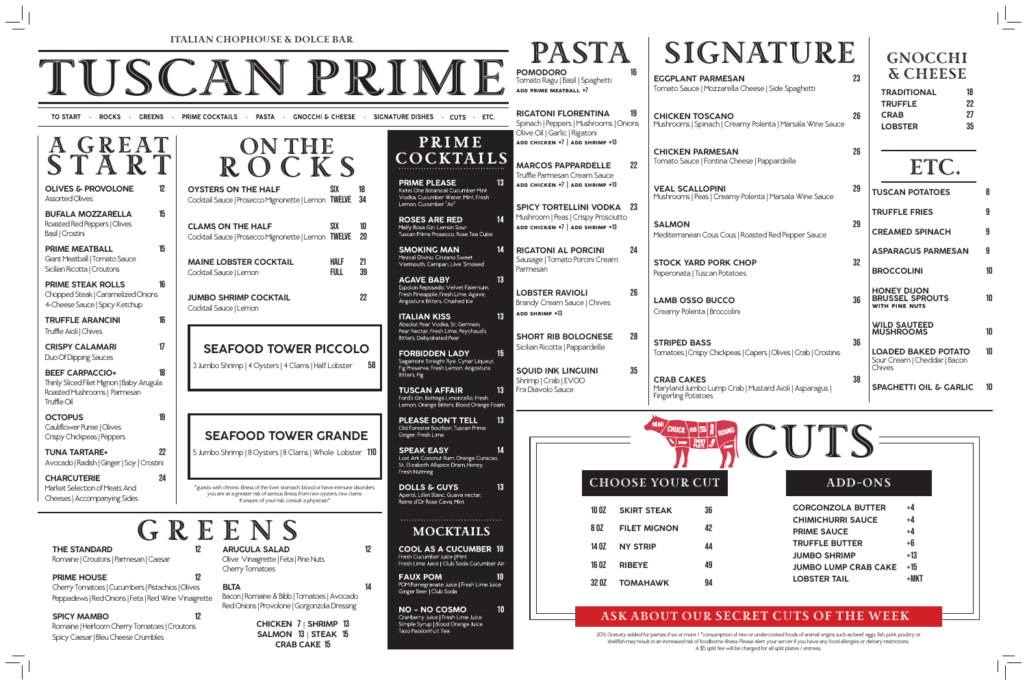TO START ROCKS - GREENS - PRIME COCKTAILS - PASTA - CNOCCHI & CHEESE - SICNATURE DISHES - CUTS - ETC.

 $\sim$ 

| A GREAT<br>START                                                                                                   |    | ON THE<br>ROCKS                                                                                                                                                                                                |          |
|--------------------------------------------------------------------------------------------------------------------|----|----------------------------------------------------------------------------------------------------------------------------------------------------------------------------------------------------------------|----------|
| <b>OLIVES &amp; PROVOLONE</b><br><b>Assorted Olives</b>                                                            | 12 | <b>OYSTERS ON THE HALF</b><br>SIX<br>Cocktail Sauce   Prosecco Mignonette   Lemon TWELVE                                                                                                                       | 18<br>34 |
| <b>BUFALA MOZZARELLA</b><br>Roasted Red Peppers   Olives<br>Basil   Crostini                                       | 15 | <b>SIX</b><br><b>CLAMS ON THE HALF</b><br>Cocktail Sauce   Prosecco Mignonette   Lemon TWELVE                                                                                                                  | 10<br>20 |
| <b>PRIME MEATBALL</b><br>Giant Meatball   Tomato Sauce<br>Sicilian Ricotta   Croutons                              | 15 | HALF<br><b>MAINE LOBSTER COCKTAIL</b><br><b>FULL</b><br>Cocktail Sauce   Lemon                                                                                                                                 | 21<br>39 |
| <b>PRIME STEAK ROLLS</b><br>Chopped Steak   Caramelized Onions<br>4-Cheese Sauce   Spicy Ketchup                   | 16 | <b>JUMBO SHRIMP COCKTAIL</b><br>Cocktail Sauce   Lemon                                                                                                                                                         | 22       |
| <b>TRUFFLE ARANCINI</b><br>Truffle Aioli   Chives                                                                  | 16 |                                                                                                                                                                                                                |          |
| <b>CRISPY CALAMARI</b><br>Duo Of Dipping Sauces                                                                    | 17 | <b>SEAFOOD TOWER PICCOLO</b>                                                                                                                                                                                   |          |
| <b>BEEF CARPACCIO*</b><br>Thinly Sliced Filet Mignon   Baby Arugula<br>Roasted Mushrooms   Parmesan<br>Truffle Oil | 18 | 3 Jumbo Shrimp   4 Oysters   4 Clams   Half Lobster                                                                                                                                                            |          |
| <b>OCTOPUS</b><br>Cauliflower Puree   Olives<br>Crispy Chickpeas   Peppers                                         | 19 | <b>SEAFOOD TOWER GRANDE</b>                                                                                                                                                                                    |          |
| <b>TUNA TARTARE*</b><br>Avocado   Radish   Ginger   Soy   Crostini                                                 | 22 | 5 Jumbo Shrimp   8 Oysters   8 Clams   Whole Lobster                                                                                                                                                           |          |
| <b>CHARCUTERIE</b><br>Market Selection of Meats And<br>Cheeses   Accompanying Sides                                | 24 | *guests with chronic illness of the liver, stomach, blood or have immune disorde<br>you are at a greater risk of serious illness from raw oysters, raw clams.<br>If unsure, of your risk, consult a physician* |          |
|                                                                                                                    |    |                                                                                                                                                                                                                |          |

| <b>THE STANDARD</b> |                                        | 12 |
|---------------------|----------------------------------------|----|
|                     | Romaine   Croutons   Parmesan   Caesar |    |

### **PRIME HOUSE**

Cherry Tomatoes | Cucumbers | Pistachios | Olives Peppadews | Red Onions | Feta | Red Wine Vinaigrette

### **SPICY MAMBO 12**

Romaine | Heirloom Cherry Tomatoes | Croutons Spicy Caesar | Bleu Cheese Crumbles

## **TOWER PICCOLO** sters | 4 Clams | Half Lobster **58 TOWER GRANDE** sters | 8 Clams | Whole Lobster **110**

## GREENS

**ARUGULA SALAD 12** Olive Vinaigrette | Feta | Pine Nuts Cherry Tomatoes

**BLTA 14** Bacon | Romaine & Bibb | Tomatoes | Avocado Red Onions | Provolone | Gorgonzola Dressing

> **CHICKEN 7 | SHRIMP 13 SALMON 13 | STEAK 15 CRAB CAKE 15**

PASTA **POMODORO <sup>16</sup>** Tomato Ragu | Basil | Spaghetti

**add prime meatball +7**

PRIME

COCKTAILS

Ketel One Botanical Cucumber Mint Vodka, Cucumber Water, Mint, Fresh

Espolon Reposado, Velvet Falernum, Fresh Pineapple, Fresh Lime, Agave, Angostura Bitters, Crushed Ice

Absolut Pear Vodka, St. Germain, Pear Nectar, Fresh Lime, Peychaud's **Bitters, Dehydrated Pear** 

**FORBIDDEN LADY** 

**TUSCAN AFFAIR** 

Ginger, Fresh Lime

**SPEAK EASY** 

**DOLLS & GUYS** Aperol, Lillet Blanc, Guava nectar, Reine d'Or Rose Cava, Mint

Fresh Nutmeg

**FAUX POM** 

**NO - NO COSMO** Cranberry Juice | Fresh Lime Juice Simple Syrup | Blood Orange Juice

Tazo Passionfruit Tea

Sagamore Straight Rye, Cynar Liqueur, Fig Preserve, Fresh Lemon, Angostura

Ford's Gin, Bottega Limoncello, Fresh emon, Orange Bitters, Blood Orange Foam\_

PLEASE DON'T TELL

Old Forester Bourbon, Tuscan Prime

Lost Ark Coconut Rum, Orange Curacao, St. Elizabeth Allspice Dram, Honey,

MOCKTAILS

**COOL AS A CUCUMBER 10** Fresh Cucumber Juice | Mint<br>Fresh Lime Juice | Club Soda Cucumber Air

POM Pomegranate Juice | Fresh Lime Juice<br>Ginger Beer | Club Soda

 $13<sup>°</sup>$ 

 $14$ 

 $14$ 

 $13$ 

 $13$ 

 $15$ 

 $13<sup>°</sup>$ 

 $13$ 

14

 $13<sup>°</sup>$ 

10

 $10$ 

**PRIME PLEASE** 

Lemon, Cucumber "Air" **ROSES ARE RED** 

Malfy Rosa Gin, Lemon Sour Tuscan Prime Prosecco, Rose Tea Cube

**SMOKING MAN** Mezcal Divino, Cinzano Sweet Vermouth, Campari, Live 'Smoked'

**AGAVE BABY** 

**ITALIAN KISS** 

Bitters, Fig

**RIGATONI FLORENTINA 19** Spinach | Peppers | Mushrooms | Onions Olive Oil | Garlic | Rigatoni **add chicken +7 | add shrimp +13**

**MARCOS PAPPARDELLE 22** Truffle Parmesan Cream Sauce **add chicken +7 | add shrimp +13**

**SPICY TORTELLINI VODKA 23**  Mushroom | Peas | Crispy Prosciutto **add chicken +7 | add shrimp +13**

**RIGATONI AL PORCINI 24**  Sausage | Tomato Porcini Cream Parmesan

**LOBSTER RAVIOLI 26** Brandy Cream Sauce | Chives **add shrimp +13**

**SHORT RIB BOLOGNESE 28**  Sicilian Ricotta | Pappardelle

**SQUID INK LINGUINI 35**  Shrimp | Crab | EVOO Fra Diavolo Sauce

| SIGNATURE                                                                                                 |    | GNC                                              |
|-----------------------------------------------------------------------------------------------------------|----|--------------------------------------------------|
| <b>EGGPLANT PARMESAN</b><br>Tomato Sauce   Mozzarella Cheese   Side Spaghetti                             | 23 | $\&$ CI<br><b>TRADITIOI</b>                      |
| <b>CHICKEN TOSCANO</b><br>Mushrooms   Spinach   Creamy Polenta   Marsala Wine Sauce                       | 26 | <b>TRUFFLE</b><br><b>CRAB</b><br><b>LOBSTER</b>  |
| <b>CHICKEN PARMESAN</b><br>Tomato Sauce   Fontina Cheese   Pappardelle                                    | 26 |                                                  |
| <b>VEAL SCALLOPINI</b><br>Mushrooms   Peas   Creamy Polenta   Marsala Wine Sauce                          | 29 | <b>TUSCAN POT</b>                                |
|                                                                                                           |    | <b>TRUFFLE FR</b>                                |
| <b>SALMON</b><br>Mediterranean Cous Cous   Roasted Red Pepper Sauce                                       | 29 | <b>CREAMED SI</b>                                |
|                                                                                                           |    | <b>ASPARAGUS</b>                                 |
| <b>STOCK YARD PORK CHOP</b><br>Peperonata   Tuscan Potatoes                                               | 32 | <b>BROCCOLIN</b>                                 |
| <b>LAMB OSSO BUCCO</b><br>Creamy Polenta   Broccolini                                                     | 36 | HONEY DIJC<br><b>BRUSSEL SP</b><br>WITH PINE NUT |
|                                                                                                           |    | <b>WILD SAUTE</b><br><b>MUSHROON</b>             |
| <b>STRIPED BASS</b><br>Tomatoes   Crispy Chickpeas   Capers   Olives   Crab   Crostinis                   | 36 | <b>LOADED BAI</b><br>Sour Cream   Cl<br>Chives   |
| <b>CRAB CAKES</b><br>Maryland Jumbo Lump Crab   Mustard Aioli   Asparagus  <br><b>Fingerling Potatoes</b> | 38 | <b>SPACHETTI</b>                                 |
|                                                                                                           |    |                                                  |

## dcchi **HEESE**



CHOOSE YOUR CUT ADD-ONS

| TRADITIONAL    | 18 |
|----------------|----|
| <b>TRUFFLE</b> | 22 |
| <b>CRAB</b>    | 97 |
| <b>LOBSTER</b> | 35 |

## TC.

| è     | 29 | <b>TUSCAN POTATOES</b>                                               | 8  |
|-------|----|----------------------------------------------------------------------|----|
|       |    | <b>TRUFFLE FRIES</b>                                                 | 9  |
|       | 29 | <b>CREAMED SPINACH</b>                                               | 9  |
|       |    | <b>ASPARAGUS PARMESAN</b>                                            | 9  |
|       | 32 | <b>BROCCOLINI</b>                                                    | 10 |
|       | 36 | <b>HONEY DIJON</b><br><b>BRUSSEL SPROUTS</b><br>WITH PINE NUTS       | 10 |
|       | 36 | <b>WILD SAUTEED</b><br><b>MUSHROOMS</b>                              | 10 |
| :inis |    | <b>LOADED BAKED POTATO</b><br>Sour Cream   Cheddar   Bacon<br>Chives | 10 |
|       | 38 | <b>SPACHETTI OIL &amp; GARLIC</b>                                    | 10 |

# CUTS

| 10 OZ  | <b>SKIRT STEAK</b>  | 36 |
|--------|---------------------|----|
| 8 OZ   | <b>FILET MIGNON</b> | Δ2 |
| 14 07  | <b>NY STRIP</b>     | 44 |
| 16 OZ  | <b>RIBEYE</b>       | 49 |
| 32 N Z | <b>TOMAHAWK</b>     | 94 |

| <b>GORGONZOLA BUTTER</b>    | +4    |
|-----------------------------|-------|
| <b>CHIMICHURRI SAUCE</b>    | $+4$  |
| <b>PRIME SAUCE</b>          | +4    |
| <b>TRUFFLE BUTTER</b>       | $+6$  |
| <b>JUMBO SHRIMP</b>         | +13   |
| <b>JUMBO LUMP CRAB CAKE</b> | $+15$ |
| <b>LOBSTER TAIL</b>         | +MKT  |

## ask about our SECRET CUTS OF THE WEEK

20% Gratuity added for parties if six or more / \*consumption of raw or undercooked foods of animal origins such as beef, eggs, fish, pork, poultry or shellfish may result in an increased risk of foodborne illness. Please alert your server if you have any food allergies or dietary restrictions. A \$5 split fee will be charged for all split plates / entrees.